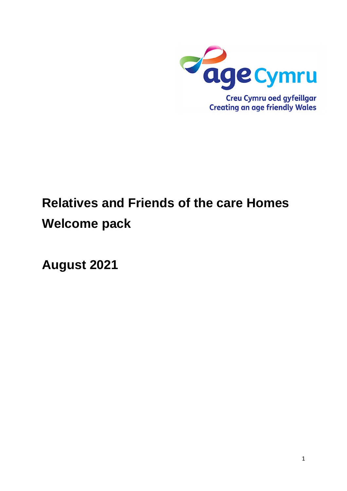

# **Relatives and Friends of the care Homes Welcome pack**

**August 2021**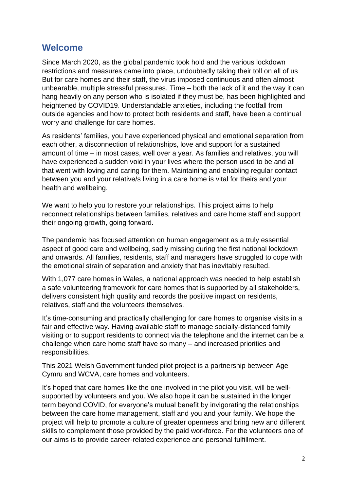## **Welcome**

Since March 2020, as the global pandemic took hold and the various lockdown restrictions and measures came into place, undoubtedly taking their toll on all of us But for care homes and their staff, the virus imposed continuous and often almost unbearable, multiple stressful pressures. Time – both the lack of it and the way it can hang heavily on any person who is isolated if they must be, has been highlighted and heightened by COVID19. Understandable anxieties, including the footfall from outside agencies and how to protect both residents and staff, have been a continual worry and challenge for care homes.

As residents' families, you have experienced physical and emotional separation from each other, a disconnection of relationships, love and support for a sustained amount of time – in most cases, well over a year. As families and relatives, you will have experienced a sudden void in your lives where the person used to be and all that went with loving and caring for them. Maintaining and enabling regular contact between you and your relative/s living in a care home is vital for theirs and your health and wellbeing.

We want to help you to restore your relationships. This project aims to help reconnect relationships between families, relatives and care home staff and support their ongoing growth, going forward.

The pandemic has focused attention on human engagement as a truly essential aspect of good care and wellbeing, sadly missing during the first national lockdown and onwards. All families, residents, staff and managers have struggled to cope with the emotional strain of separation and anxiety that has inevitably resulted.

With 1,077 care homes in Wales, a national approach was needed to help establish a safe volunteering framework for care homes that is supported by all stakeholders, delivers consistent high quality and records the positive impact on residents, relatives, staff and the volunteers themselves.

It's time-consuming and practically challenging for care homes to organise visits in a fair and effective way. Having available staff to manage socially-distanced family visiting or to support residents to connect via the telephone and the internet can be a challenge when care home staff have so many – and increased priorities and responsibilities.

This 2021 Welsh Government funded pilot project is a partnership between Age Cymru and WCVA, care homes and volunteers.

It's hoped that care homes like the one involved in the pilot you visit, will be wellsupported by volunteers and you. We also hope it can be sustained in the longer term beyond COVID, for everyone's mutual benefit by invigorating the relationships between the care home management, staff and you and your family. We hope the project will help to promote a culture of greater openness and bring new and different skills to complement those provided by the paid workforce. For the volunteers one of our aims is to provide career-related experience and personal fulfillment.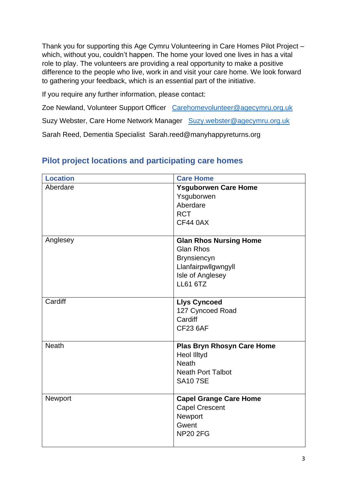Thank you for supporting this Age Cymru Volunteering in Care Homes Pilot Project – which, without you, couldn't happen. The home your loved one lives in has a vital role to play. The volunteers are providing a real opportunity to make a positive difference to the people who live, work in and visit your care home. We look forward to gathering your feedback, which is an essential part of the initiative.

If you require any further information, please contact:

Zoe Newland, Volunteer Support Officer [Carehomevolunteer@agecymru.org.uk](mailto:Carehomevolunteer@agecymru.org.uk)

Suzy Webster, Care Home Network Manager [Suzy.webster@agecymru.org.uk](mailto:Suzy.webster@agecymru.org.uk)

Sarah Reed, Dementia Specialist Sarah.reed@manyhappyreturns.org

| <b>Location</b> | <b>Care Home</b>                  |
|-----------------|-----------------------------------|
| Aberdare        | <b>Ysguborwen Care Home</b>       |
|                 | Ysguborwen                        |
|                 | Aberdare                          |
|                 | <b>RCT</b>                        |
|                 | <b>CF44 0AX</b>                   |
|                 |                                   |
| Anglesey        | <b>Glan Rhos Nursing Home</b>     |
|                 | <b>Glan Rhos</b>                  |
|                 | <b>Brynsiencyn</b>                |
|                 | Llanfairpwllgwngyll               |
|                 | Isle of Anglesey                  |
|                 | <b>LL61 6TZ</b>                   |
|                 |                                   |
| Cardiff         | <b>Llys Cyncoed</b>               |
|                 | 127 Cyncoed Road                  |
|                 | Cardiff                           |
|                 | <b>CF23 6AF</b>                   |
|                 |                                   |
| <b>Neath</b>    | <b>Plas Bryn Rhosyn Care Home</b> |
|                 | <b>Heol Illtyd</b>                |
|                 | <b>Neath</b>                      |
|                 | <b>Neath Port Talbot</b>          |
|                 | <b>SA107SE</b>                    |
|                 |                                   |
| Newport         | <b>Capel Grange Care Home</b>     |
|                 | <b>Capel Crescent</b>             |
|                 | Newport                           |
|                 | Gwent                             |
|                 | <b>NP20 2FG</b>                   |
|                 |                                   |

# **Pilot project locations and participating care homes**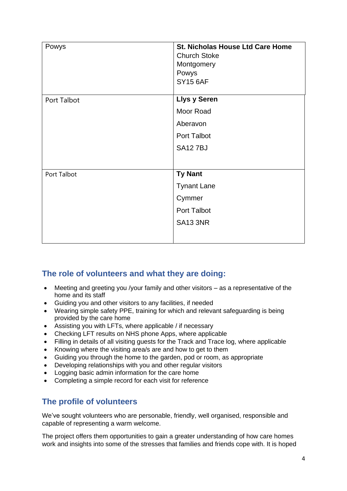| Powys       | <b>St. Nicholas House Ltd Care Home</b><br><b>Church Stoke</b><br>Montgomery<br>Powys<br><b>SY15 6AF</b> |
|-------------|----------------------------------------------------------------------------------------------------------|
|             |                                                                                                          |
| Port Talbot | <b>Llys y Seren</b>                                                                                      |
|             | Moor Road                                                                                                |
|             | Aberavon                                                                                                 |
|             | Port Talbot                                                                                              |
|             | <b>SA127BJ</b>                                                                                           |
|             |                                                                                                          |
| Port Talbot | <b>Ty Nant</b>                                                                                           |
|             | <b>Tynant Lane</b>                                                                                       |
|             | Cymmer                                                                                                   |
|             | Port Talbot                                                                                              |
|             | <b>SA13 3NR</b>                                                                                          |
|             |                                                                                                          |

## **The role of volunteers and what they are doing:**

- Meeting and greeting you /your family and other visitors as a representative of the home and its staff
- Guiding you and other visitors to any facilities, if needed
- Wearing simple safety PPE, training for which and relevant safeguarding is being provided by the care home
- Assisting you with LFTs, where applicable / if necessary
- Checking LFT results on NHS phone Apps, where applicable
- Filling in details of all visiting guests for the Track and Trace log, where applicable
- Knowing where the visiting area/s are and how to get to them
- Guiding you through the home to the garden, pod or room, as appropriate
- Developing relationships with you and other regular visitors
- Logging basic admin information for the care home
- Completing a simple record for each visit for reference

## **The profile of volunteers**

We've sought volunteers who are personable, friendly, well organised, responsible and capable of representing a warm welcome.

The project offers them opportunities to gain a greater understanding of how care homes work and insights into some of the stresses that families and friends cope with. It is hoped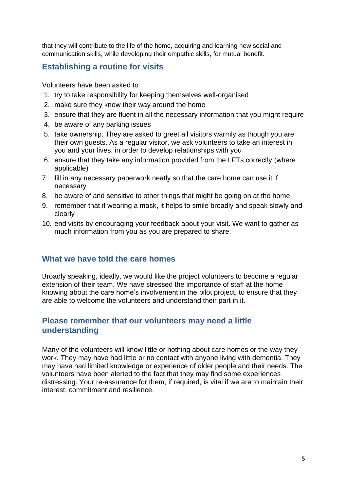that they will contribute to the life of the home, acquiring and learning new social and communication skills, while developing their empathic skills, for mutual benefit.

## **Establishing a routine for visits**

Volunteers have been asked to

- 1. try to take responsibility for keeping themselves well-organised
- 2. make sure they know their way around the home
- 3. ensure that they are fluent in all the necessary information that you might require
- 4. be aware of any parking issues
- 5. take ownership. They are asked to greet all visitors warmly as though you are their own guests. As a regular visitor, we ask volunteers to take an interest in you and your lives, in order to develop relationships with you
- 6. ensure that they take any information provided from the LFTs correctly (where applicable)
- 7. fill in any necessary paperwork neatly so that the care home can use it if necessary
- 8. be aware of and sensitive to other things that might be going on at the home
- 9. remember that if wearing a mask, it helps to smile broadly and speak slowly and clearly
- 10. end visits by encouraging your feedback about your visit. We want to gather as much information from you as you are prepared to share.

#### **What we have told the care homes**

Broadly speaking, ideally, we would like the project volunteers to become a regular extension of their team. We have stressed the importance of staff at the home knowing about the care home's involvement in the pilot project, to ensure that they are able to welcome the volunteers and understand their part in it.

### **Please remember that our volunteers may need a little understanding**

Many of the volunteers will know little or nothing about care homes or the way they work. They may have had little or no contact with anyone living with dementia. They may have had limited knowledge or experience of older people and their needs. The volunteers have been alerted to the fact that they may find some experiences distressing. Your re-assurance for them, if required, is vital if we are to maintain their interest, commitment and resilience.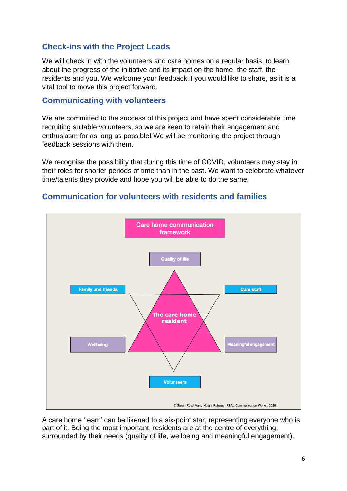## **Check-ins with the Project Leads**

We will check in with the volunteers and care homes on a regular basis, to learn about the progress of the initiative and its impact on the home, the staff, the residents and you. We welcome your feedback if you would like to share, as it is a vital tool to move this project forward.

#### **Communicating with volunteers**

We are committed to the success of this project and have spent considerable time recruiting suitable volunteers, so we are keen to retain their engagement and enthusiasm for as long as possible! We will be monitoring the project through feedback sessions with them.

We recognise the possibility that during this time of COVID, volunteers may stay in their roles for shorter periods of time than in the past. We want to celebrate whatever time/talents they provide and hope you will be able to do the same.



#### **Communication for volunteers with residents and families**

A care home 'team' can be likened to a six-point star, representing everyone who is part of it. Being the most important, residents are at the centre of everything, surrounded by their needs (quality of life, wellbeing and meaningful engagement).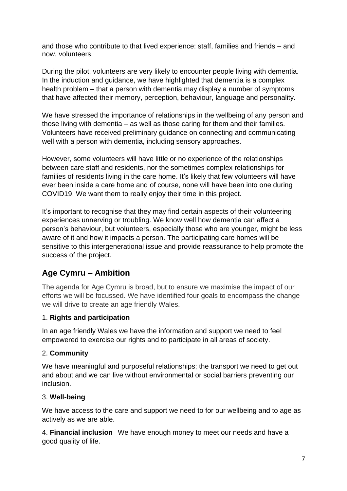and those who contribute to that lived experience: staff, families and friends – and now, volunteers.

During the pilot, volunteers are very likely to encounter people living with dementia. In the induction and guidance, we have highlighted that dementia is a complex health problem – that a person with dementia may display a number of symptoms that have affected their memory, perception, behaviour, language and personality.

We have stressed the importance of relationships in the wellbeing of any person and those living with dementia – as well as those caring for them and their families. Volunteers have received preliminary guidance on connecting and communicating well with a person with dementia, including sensory approaches.

However, some volunteers will have little or no experience of the relationships between care staff and residents, nor the sometimes complex relationships for families of residents living in the care home. It's likely that few volunteers will have ever been inside a care home and of course, none will have been into one during COVID19. We want them to really enjoy their time in this project.

It's important to recognise that they may find certain aspects of their volunteering experiences unnerving or troubling. We know well how dementia can affect a person's behaviour, but volunteers, especially those who are younger, might be less aware of it and how it impacts a person. The participating care homes will be sensitive to this intergenerational issue and provide reassurance to help promote the success of the project.

# **Age Cymru – Ambition**

The agenda for Age Cymru is broad, but to ensure we maximise the impact of our efforts we will be focussed. We have identified four goals to encompass the change we will drive to create an age friendly Wales.

#### 1. **Rights and participation**

In an age friendly Wales we have the information and support we need to feel empowered to exercise our rights and to participate in all areas of society.

#### 2. **Community**

We have meaningful and purposeful relationships; the transport we need to get out and about and we can live without environmental or social barriers preventing our inclusion.

#### 3. **Well-being**

We have access to the care and support we need to for our wellbeing and to age as actively as we are able.

4. **Financial inclusion** We have enough money to meet our needs and have a good quality of life.